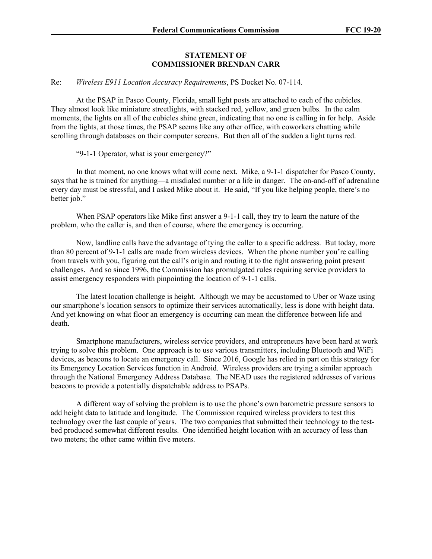## **STATEMENT OF COMMISSIONER BRENDAN CARR**

## Re: *Wireless E911 Location Accuracy Requirements*, PS Docket No. 07-114.

At the PSAP in Pasco County, Florida, small light posts are attached to each of the cubicles. They almost look like miniature streetlights, with stacked red, yellow, and green bulbs. In the calm moments, the lights on all of the cubicles shine green, indicating that no one is calling in for help. Aside from the lights, at those times, the PSAP seems like any other office, with coworkers chatting while scrolling through databases on their computer screens. But then all of the sudden a light turns red.

"9-1-1 Operator, what is your emergency?"

In that moment, no one knows what will come next. Mike, a 9-1-1 dispatcher for Pasco County, says that he is trained for anything—a misdialed number or a life in danger. The on-and-off of adrenaline every day must be stressful, and I asked Mike about it. He said, "If you like helping people, there's no better job."

When PSAP operators like Mike first answer a 9-1-1 call, they try to learn the nature of the problem, who the caller is, and then of course, where the emergency is occurring.

Now, landline calls have the advantage of tying the caller to a specific address. But today, more than 80 percent of 9-1-1 calls are made from wireless devices. When the phone number you're calling from travels with you, figuring out the call's origin and routing it to the right answering point present challenges. And so since 1996, the Commission has promulgated rules requiring service providers to assist emergency responders with pinpointing the location of 9-1-1 calls.

The latest location challenge is height. Although we may be accustomed to Uber or Waze using our smartphone's location sensors to optimize their services automatically, less is done with height data. And yet knowing on what floor an emergency is occurring can mean the difference between life and death.

Smartphone manufacturers, wireless service providers, and entrepreneurs have been hard at work trying to solve this problem. One approach is to use various transmitters, including Bluetooth and WiFi devices, as beacons to locate an emergency call. Since 2016, Google has relied in part on this strategy for its Emergency Location Services function in Android. Wireless providers are trying a similar approach through the National Emergency Address Database. The NEAD uses the registered addresses of various beacons to provide a potentially dispatchable address to PSAPs.

A different way of solving the problem is to use the phone's own barometric pressure sensors to add height data to latitude and longitude. The Commission required wireless providers to test this technology over the last couple of years. The two companies that submitted their technology to the testbed produced somewhat different results. One identified height location with an accuracy of less than two meters; the other came within five meters.